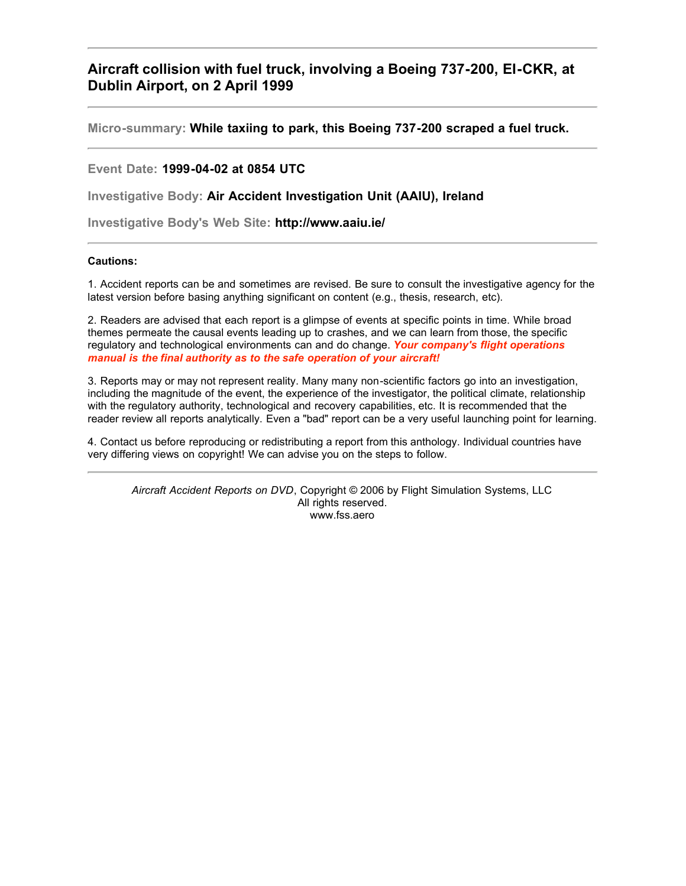### <span id="page-0-0"></span>**Aircraft collision with fuel truck, involving a Boeing 737-200, EI-CKR, at Dublin Airport, on 2 April 1999**

**Micro-summary: While taxiing to park, this Boeing 737-200 scraped a fuel truck.**

**Event Date: 1999-04-02 at 0854 UTC**

**Investigative Body: Air Accident Investigation Unit (AAIU), Ireland**

**Investigative Body's Web Site: http://www.aaiu.ie/**

#### **Cautions:**

1. Accident reports can be and sometimes are revised. Be sure to consult the investigative agency for the latest version before basing anything significant on content (e.g., thesis, research, etc).

2. Readers are advised that each report is a glimpse of events at specific points in time. While broad themes permeate the causal events leading up to crashes, and we can learn from those, the specific regulatory and technological environments can and do change. *Your company's flight operations manual is the final authority as to the safe operation of your aircraft!*

3. Reports may or may not represent reality. Many many non-scientific factors go into an investigation, including the magnitude of the event, the experience of the investigator, the political climate, relationship with the regulatory authority, technological and recovery capabilities, etc. It is recommended that the reader review all reports analytically. Even a "bad" report can be a very useful launching point for learning.

4. Contact us before reproducing or redistributing a report from this anthology. Individual countries have very differing views on copyright! We can advise you on the steps to follow.

*Aircraft Accident Reports on DVD*, Copyright © 2006 by Flight Simulation Systems, LLC All rights reserved. www.fss.aero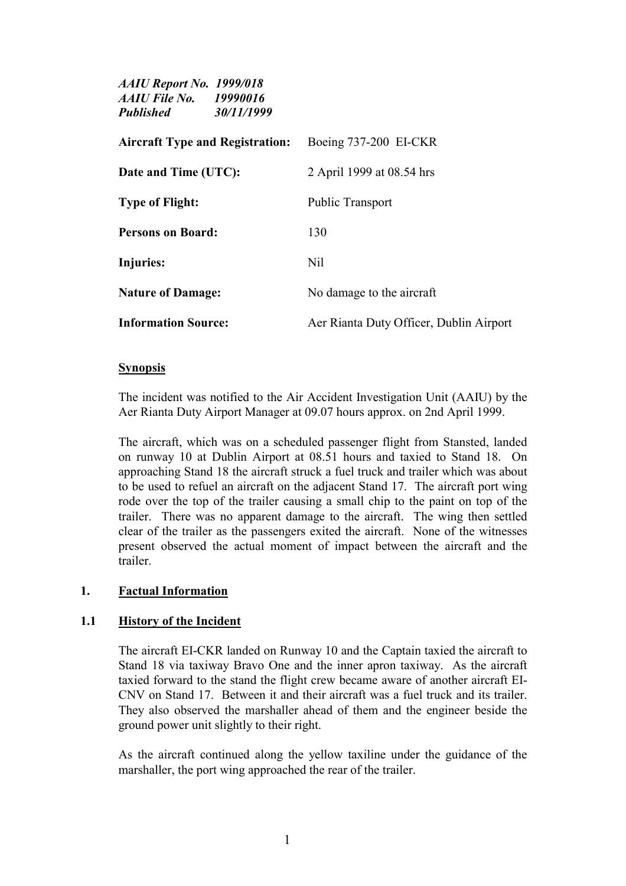| <b>AAIU Report No. 1999/018</b><br><b>AAIU File No.</b> 19990016<br><b>Published</b> | 30/11/1999 |                                         |
|--------------------------------------------------------------------------------------|------------|-----------------------------------------|
| <b>Aircraft Type and Registration:</b>                                               |            | Boeing 737-200 EI-CKR                   |
| Date and Time (UTC):                                                                 |            | 2 April 1999 at 08.54 hrs               |
| <b>Type of Flight:</b>                                                               |            | <b>Public Transport</b>                 |
| <b>Persons on Board:</b>                                                             |            | 130                                     |
| Injuries:                                                                            |            | N <sub>il</sub>                         |
| <b>Nature of Damage:</b>                                                             |            | No damage to the aircraft               |
| <b>Information Source:</b>                                                           |            | Aer Rianta Duty Officer, Dublin Airport |

#### **Synopsis**

The incident was notified to the Air Accident Investigation Unit (AAIU) by the Aer Rianta Duty Airport Manager at 09.07 hours approx. on 2nd April 1999.

The aircraft, which was on a scheduled passenger flight from Stansted, landed on runway 10 at Dublin Airport at 08.51 hours and taxied to Stand 18. On approaching Stand 18 the aircraft struck a fuel truck and trailer which was about to be used to refuel an aircraft on the adjacent Stand 17. The aircraft port wing rode over the top of the trailer causing a small chip to the paint on top of the trailer. There was no apparent damage to the aircraft. The wing then settled clear of the trailer as the passengers exited the aircraft. None of the witnesses present observed the actual moment of impact between the aircraft and the trailer.

#### **1. Factual Information**

### **1.1 History of the Incident**

The aircraft EI-CKR landed on Runway 10 and the Captain taxied the aircraft to Stand 18 via taxiway Bravo One and the inner apron taxiway. As the aircraft taxied forward to the stand the flight crew became aware of another aircraft EI-CNV on Stand 17. Between it and their aircraft was a fuel truck and its trailer. They also observed the marshaller ahead of them and the engineer beside the ground power unit slightly to their right.

As the aircraft continued along the yellow taxiline under the guidance of the marshaller, the port wing approached the rear of the trailer.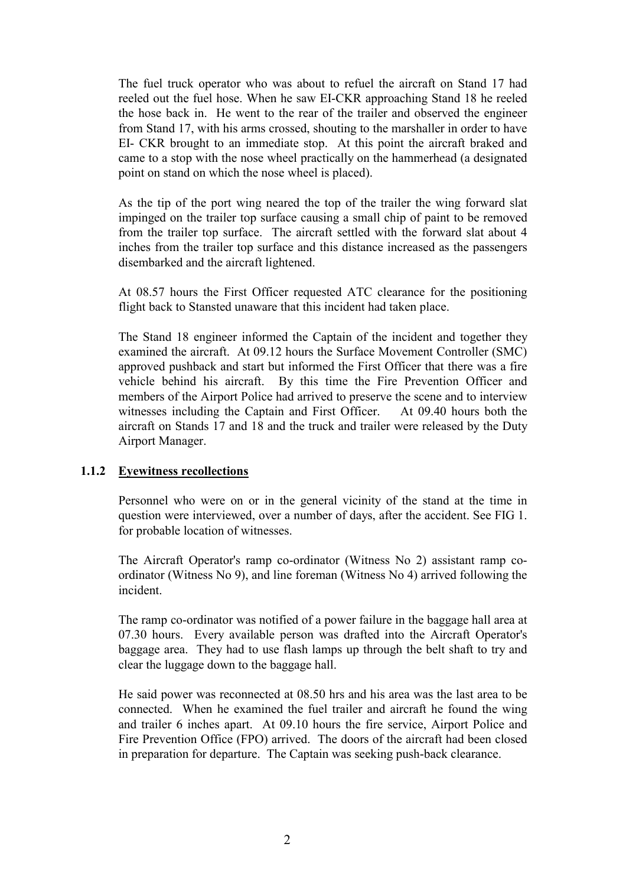The fuel truck operator who was about to refuel the aircraft on Stand 17 had reeled out the fuel hose. When he saw EI-CKR approaching Stand 18 he reeled the hose back in. He went to the rear of the trailer and observed the engineer from Stand 17, with his arms crossed, shouting to the marshaller in order to have EI- CKR brought to an immediate stop. At this point the aircraft braked and came to a stop with the nose wheel practically on the hammerhead (a designated point on stand on which the nose wheel is placed).

As the tip of the port wing neared the top of the trailer the wing forward slat impinged on the trailer top surface causing a small chip of paint to be removed from the trailer top surface. The aircraft settled with the forward slat about 4 inches from the trailer top surface and this distance increased as the passengers disembarked and the aircraft lightened.

At 08.57 hours the First Officer requested ATC clearance for the positioning flight back to Stansted unaware that this incident had taken place.

The Stand 18 engineer informed the Captain of the incident and together they examined the aircraft. At 09.12 hours the Surface Movement Controller (SMC) approved pushback and start but informed the First Officer that there was a fire vehicle behind his aircraft. By this time the Fire Prevention Officer and members of the Airport Police had arrived to preserve the scene and to interview witnesses including the Captain and First Officer. At 09.40 hours both the aircraft on Stands 17 and 18 and the truck and trailer were released by the Duty Airport Manager.

### **1.1.2 Eyewitness recollections**

Personnel who were on or in the general vicinity of the stand at the time in question were interviewed, over a number of days, after the accident. See FIG 1. for probable location of witnesses.

The Aircraft Operator's ramp co-ordinator (Witness No 2) assistant ramp coordinator (Witness No 9), and line foreman (Witness No 4) arrived following the incident.

The ramp co-ordinator was notified of a power failure in the baggage hall area at 07.30 hours. Every available person was drafted into the Aircraft Operator's baggage area. They had to use flash lamps up through the belt shaft to try and clear the luggage down to the baggage hall.

He said power was reconnected at 08.50 hrs and his area was the last area to be connected. When he examined the fuel trailer and aircraft he found the wing and trailer 6 inches apart. At 09.10 hours the fire service, Airport Police and Fire Prevention Office (FPO) arrived. The doors of the aircraft had been closed in preparation for departure. The Captain was seeking push-back clearance.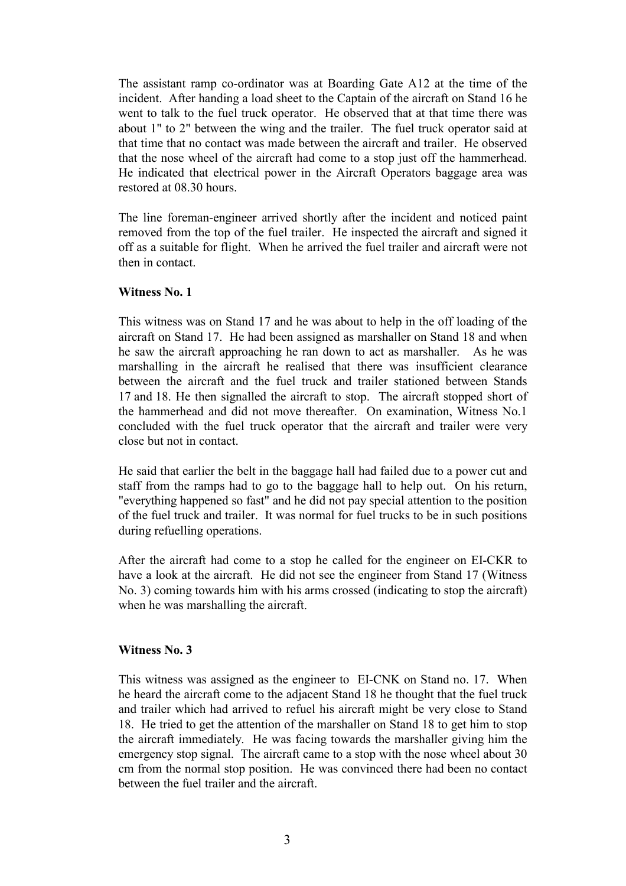The assistant ramp co-ordinator was at Boarding Gate A12 at the time of the incident. After handing a load sheet to the Captain of the aircraft on Stand 16 he went to talk to the fuel truck operator. He observed that at that time there was about 1" to 2" between the wing and the trailer. The fuel truck operator said at that time that no contact was made between the aircraft and trailer. He observed that the nose wheel of the aircraft had come to a stop just off the hammerhead. He indicated that electrical power in the Aircraft Operators baggage area was restored at 08.30 hours.

The line foreman-engineer arrived shortly after the incident and noticed paint removed from the top of the fuel trailer. He inspected the aircraft and signed it off as a suitable for flight. When he arrived the fuel trailer and aircraft were not then in contact.

#### **Witness No. 1**

This witness was on Stand 17 and he was about to help in the off loading of the aircraft on Stand 17. He had been assigned as marshaller on Stand 18 and when he saw the aircraft approaching he ran down to act as marshaller. As he was marshalling in the aircraft he realised that there was insufficient clearance between the aircraft and the fuel truck and trailer stationed between Stands 17 and 18. He then signalled the aircraft to stop. The aircraft stopped short of the hammerhead and did not move thereafter. On examination, Witness No.1 concluded with the fuel truck operator that the aircraft and trailer were very close but not in contact.

He said that earlier the belt in the baggage hall had failed due to a power cut and staff from the ramps had to go to the baggage hall to help out. On his return, "everything happened so fast" and he did not pay special attention to the position of the fuel truck and trailer. It was normal for fuel trucks to be in such positions during refuelling operations.

After the aircraft had come to a stop he called for the engineer on EI-CKR to have a look at the aircraft. He did not see the engineer from Stand 17 (Witness) No. 3) coming towards him with his arms crossed (indicating to stop the aircraft) when he was marshalling the aircraft.

#### **Witness No. 3**

This witness was assigned as the engineer to EI-CNK on Stand no. 17. When he heard the aircraft come to the adjacent Stand 18 he thought that the fuel truck and trailer which had arrived to refuel his aircraft might be very close to Stand 18. He tried to get the attention of the marshaller on Stand 18 to get him to stop the aircraft immediately. He was facing towards the marshaller giving him the emergency stop signal. The aircraft came to a stop with the nose wheel about 30 cm from the normal stop position. He was convinced there had been no contact between the fuel trailer and the aircraft.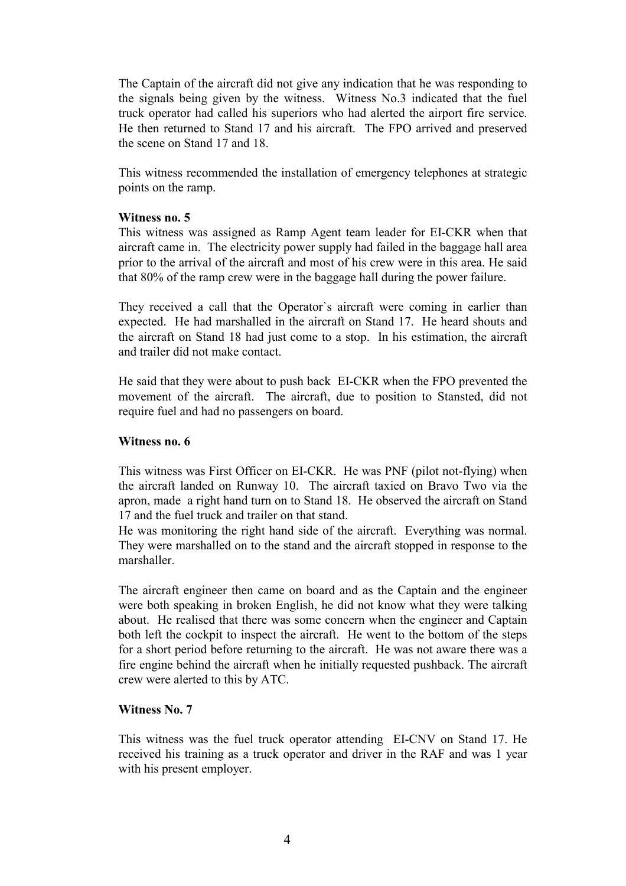The Captain of the aircraft did not give any indication that he was responding to the signals being given by the witness. Witness No.3 indicated that the fuel truck operator had called his superiors who had alerted the airport fire service. He then returned to Stand 17 and his aircraft. The FPO arrived and preserved the scene on Stand 17 and 18.

This witness recommended the installation of emergency telephones at strategic points on the ramp.

#### **Witness no. 5**

This witness was assigned as Ramp Agent team leader for EI-CKR when that aircraft came in. The electricity power supply had failed in the baggage hall area prior to the arrival of the aircraft and most of his crew were in this area. He said that 80% of the ramp crew were in the baggage hall during the power failure.

They received a call that the Operator`s aircraft were coming in earlier than expected. He had marshalled in the aircraft on Stand 17. He heard shouts and the aircraft on Stand 18 had just come to a stop. In his estimation, the aircraft and trailer did not make contact.

He said that they were about to push back EI-CKR when the FPO prevented the movement of the aircraft. The aircraft, due to position to Stansted, did not require fuel and had no passengers on board.

#### **Witness no. 6**

This witness was First Officer on EI-CKR. He was PNF (pilot not-flying) when the aircraft landed on Runway 10. The aircraft taxied on Bravo Two via the apron, made a right hand turn on to Stand 18. He observed the aircraft on Stand 17 and the fuel truck and trailer on that stand.

He was monitoring the right hand side of the aircraft. Everything was normal. They were marshalled on to the stand and the aircraft stopped in response to the marshaller.

The aircraft engineer then came on board and as the Captain and the engineer were both speaking in broken English, he did not know what they were talking about. He realised that there was some concern when the engineer and Captain both left the cockpit to inspect the aircraft. He went to the bottom of the steps for a short period before returning to the aircraft. He was not aware there was a fire engine behind the aircraft when he initially requested pushback. The aircraft crew were alerted to this by ATC.

#### **Witness No. 7**

This witness was the fuel truck operator attending EI-CNV on Stand 17. He received his training as a truck operator and driver in the RAF and was 1 year with his present employer.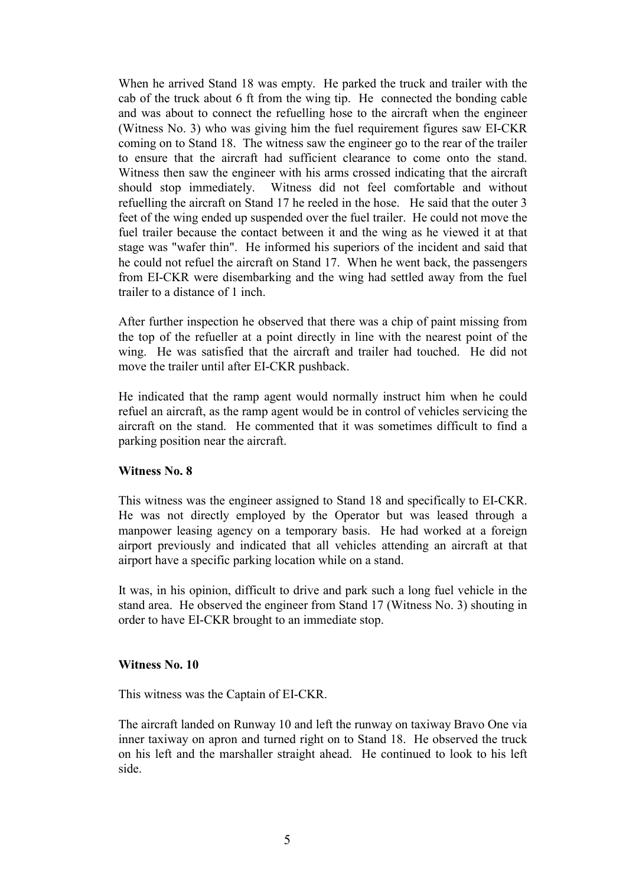When he arrived Stand 18 was empty. He parked the truck and trailer with the cab of the truck about 6 ft from the wing tip. He connected the bonding cable and was about to connect the refuelling hose to the aircraft when the engineer (Witness No. 3) who was giving him the fuel requirement figures saw EI-CKR coming on to Stand 18. The witness saw the engineer go to the rear of the trailer to ensure that the aircraft had sufficient clearance to come onto the stand. Witness then saw the engineer with his arms crossed indicating that the aircraft should stop immediately. Witness did not feel comfortable and without refuelling the aircraft on Stand 17 he reeled in the hose. He said that the outer 3 feet of the wing ended up suspended over the fuel trailer. He could not move the fuel trailer because the contact between it and the wing as he viewed it at that stage was "wafer thin". He informed his superiors of the incident and said that he could not refuel the aircraft on Stand 17. When he went back, the passengers from EI-CKR were disembarking and the wing had settled away from the fuel trailer to a distance of 1 inch.

After further inspection he observed that there was a chip of paint missing from the top of the refueller at a point directly in line with the nearest point of the wing. He was satisfied that the aircraft and trailer had touched. He did not move the trailer until after EI-CKR pushback.

He indicated that the ramp agent would normally instruct him when he could refuel an aircraft, as the ramp agent would be in control of vehicles servicing the aircraft on the stand. He commented that it was sometimes difficult to find a parking position near the aircraft.

#### **Witness No. 8**

This witness was the engineer assigned to Stand 18 and specifically to EI-CKR. He was not directly employed by the Operator but was leased through a manpower leasing agency on a temporary basis. He had worked at a foreign airport previously and indicated that all vehicles attending an aircraft at that airport have a specific parking location while on a stand.

It was, in his opinion, difficult to drive and park such a long fuel vehicle in the stand area. He observed the engineer from Stand 17 (Witness No. 3) shouting in order to have EI-CKR brought to an immediate stop.

#### **Witness No. 10**

This witness was the Captain of EI-CKR.

The aircraft landed on Runway 10 and left the runway on taxiway Bravo One via inner taxiway on apron and turned right on to Stand 18. He observed the truck on his left and the marshaller straight ahead. He continued to look to his left side.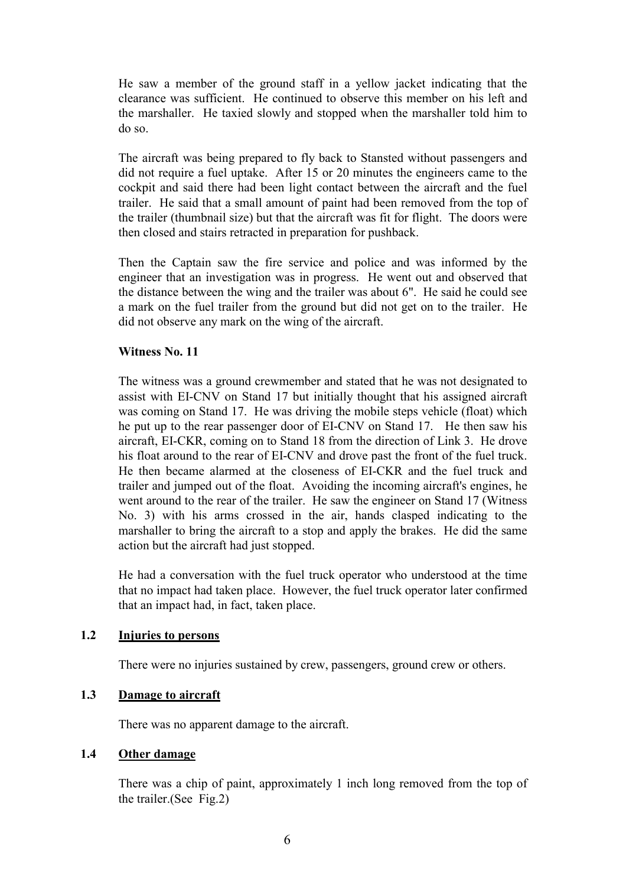He saw a member of the ground staff in a yellow jacket indicating that the clearance was sufficient. He continued to observe this member on his left and the marshaller. He taxied slowly and stopped when the marshaller told him to do so.

The aircraft was being prepared to fly back to Stansted without passengers and did not require a fuel uptake. After 15 or 20 minutes the engineers came to the cockpit and said there had been light contact between the aircraft and the fuel trailer. He said that a small amount of paint had been removed from the top of the trailer (thumbnail size) but that the aircraft was fit for flight. The doors were then closed and stairs retracted in preparation for pushback.

Then the Captain saw the fire service and police and was informed by the engineer that an investigation was in progress. He went out and observed that the distance between the wing and the trailer was about 6". He said he could see a mark on the fuel trailer from the ground but did not get on to the trailer. He did not observe any mark on the wing of the aircraft.

### **Witness No. 11**

The witness was a ground crewmember and stated that he was not designated to assist with EI-CNV on Stand 17 but initially thought that his assigned aircraft was coming on Stand 17. He was driving the mobile steps vehicle (float) which he put up to the rear passenger door of EI-CNV on Stand 17. He then saw his aircraft, EI-CKR, coming on to Stand 18 from the direction of Link 3. He drove his float around to the rear of EI-CNV and drove past the front of the fuel truck. He then became alarmed at the closeness of EI-CKR and the fuel truck and trailer and jumped out of the float. Avoiding the incoming aircraft's engines, he went around to the rear of the trailer. He saw the engineer on Stand 17 (Witness No. 3) with his arms crossed in the air, hands clasped indicating to the marshaller to bring the aircraft to a stop and apply the brakes. He did the same action but the aircraft had just stopped.

He had a conversation with the fuel truck operator who understood at the time that no impact had taken place. However, the fuel truck operator later confirmed that an impact had, in fact, taken place.

### **1.2 Injuries to persons**

There were no injuries sustained by crew, passengers, ground crew or others.

### **1.3 Damage to aircraft**

There was no apparent damage to the aircraft.

### **1.4 Other damage**

There was a chip of paint, approximately 1 inch long removed from the top of the trailer.(See Fig.2)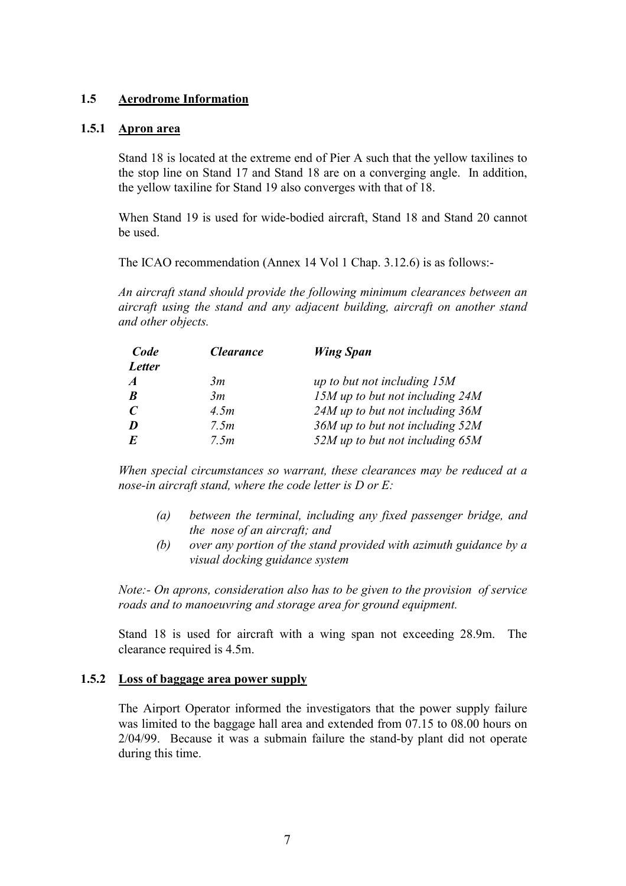### **1.5 Aerodrome Information**

### **1.5.1 Apron area**

Stand 18 is located at the extreme end of Pier A such that the yellow taxilines to the stop line on Stand 17 and Stand 18 are on a converging angle. In addition, the yellow taxiline for Stand 19 also converges with that of 18.

When Stand 19 is used for wide-bodied aircraft, Stand 18 and Stand 20 cannot be used.

The ICAO recommendation (Annex 14 Vol 1 Chap. 3.12.6) is as follows:-

*An aircraft stand should provide the following minimum clearances between an aircraft using the stand and any adjacent building, aircraft on another stand and other objects.* 

| Code             | <i><b>Clearance</b></i> | <b>Wing Span</b>                |
|------------------|-------------------------|---------------------------------|
| <b>Letter</b>    |                         |                                 |
| $\boldsymbol{A}$ | 3m                      | up to but not including $15M$   |
| $\boldsymbol{B}$ | 3m                      | 15M up to but not including 24M |
| $\mathcal{C}$    | 4.5m                    | 24M up to but not including 36M |
| D                | 7.5m                    | 36M up to but not including 52M |
| $\bm{E}$         | 7.5m                    | 52M up to but not including 65M |

*When special circumstances so warrant, these clearances may be reduced at a nose-in aircraft stand, where the code letter is D or E:* 

- *(a) between the terminal, including any fixed passenger bridge, and the nose of an aircraft; and*
- *(b) over any portion of the stand provided with azimuth guidance by a visual docking guidance system*

*Note:- On aprons, consideration also has to be given to the provision of service roads and to manoeuvring and storage area for ground equipment.* 

Stand 18 is used for aircraft with a wing span not exceeding 28.9m. The clearance required is 4.5m.

#### **1.5.2 Loss of baggage area power supply**

The Airport Operator informed the investigators that the power supply failure was limited to the baggage hall area and extended from 07.15 to 08.00 hours on 2/04/99. Because it was a submain failure the stand-by plant did not operate during this time.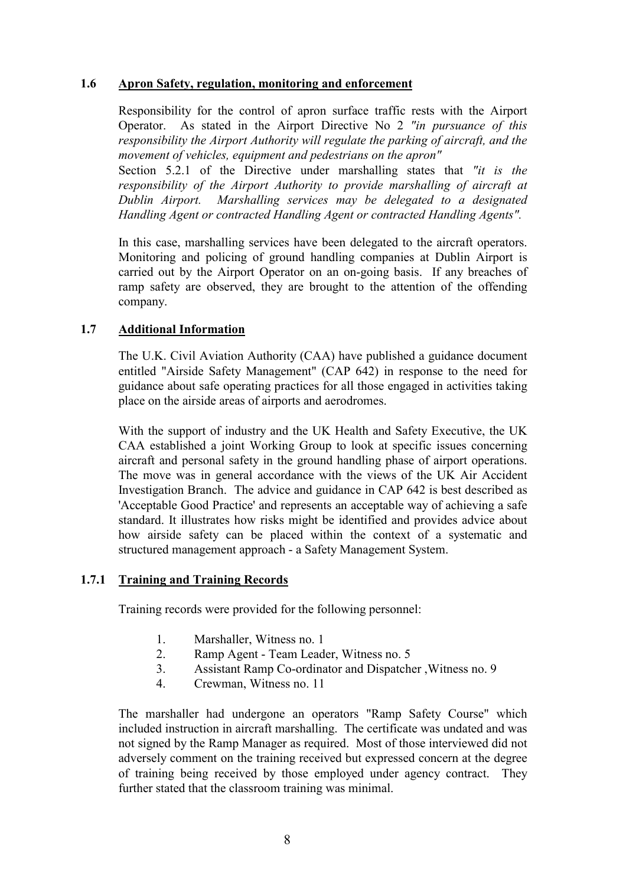### **1.6 Apron Safety, regulation, monitoring and enforcement**

Responsibility for the control of apron surface traffic rests with the Airport Operator. As stated in the Airport Directive No 2 *"in pursuance of this responsibility the Airport Authority will regulate the parking of aircraft, and the movement of vehicles, equipment and pedestrians on the apron"*

Section 5.2.1 of the Directive under marshalling states that *"it is the responsibility of the Airport Authority to provide marshalling of aircraft at Dublin Airport. Marshalling services may be delegated to a designated Handling Agent or contracted Handling Agent or contracted Handling Agents".* 

In this case, marshalling services have been delegated to the aircraft operators. Monitoring and policing of ground handling companies at Dublin Airport is carried out by the Airport Operator on an on-going basis. If any breaches of ramp safety are observed, they are brought to the attention of the offending company.

### **1.7 Additional Information**

The U.K. Civil Aviation Authority (CAA) have published a guidance document entitled "Airside Safety Management" (CAP 642) in response to the need for guidance about safe operating practices for all those engaged in activities taking place on the airside areas of airports and aerodromes.

With the support of industry and the UK Health and Safety Executive, the UK CAA established a joint Working Group to look at specific issues concerning aircraft and personal safety in the ground handling phase of airport operations. The move was in general accordance with the views of the UK Air Accident Investigation Branch. The advice and guidance in CAP 642 is best described as 'Acceptable Good Practice' and represents an acceptable way of achieving a safe standard. It illustrates how risks might be identified and provides advice about how airside safety can be placed within the context of a systematic and structured management approach - a Safety Management System.

#### **1.7.1 Training and Training Records**

Training records were provided for the following personnel:

- 1. Marshaller, Witness no. 1
- 2. Ramp Agent Team Leader, Witness no. 5
- 3. Assistant Ramp Co-ordinator and Dispatcher ,Witness no. 9
- 4. Crewman, Witness no. 11

The marshaller had undergone an operators "Ramp Safety Course" which included instruction in aircraft marshalling. The certificate was undated and was not signed by the Ramp Manager as required. Most of those interviewed did not adversely comment on the training received but expressed concern at the degree of training being received by those employed under agency contract. They further stated that the classroom training was minimal.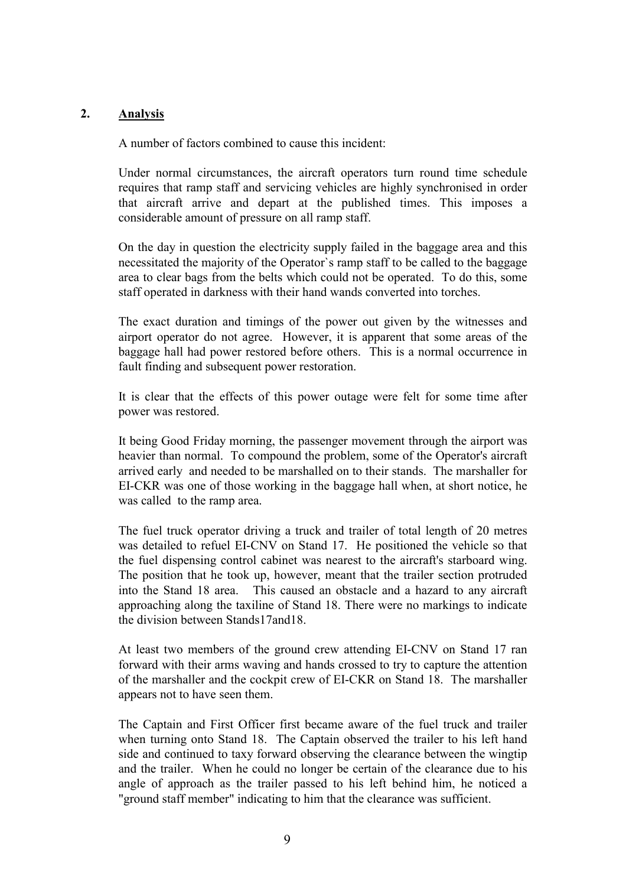### **2. Analysis**

A number of factors combined to cause this incident:

Under normal circumstances, the aircraft operators turn round time schedule requires that ramp staff and servicing vehicles are highly synchronised in order that aircraft arrive and depart at the published times. This imposes a considerable amount of pressure on all ramp staff.

On the day in question the electricity supply failed in the baggage area and this necessitated the majority of the Operator`s ramp staff to be called to the baggage area to clear bags from the belts which could not be operated. To do this, some staff operated in darkness with their hand wands converted into torches.

The exact duration and timings of the power out given by the witnesses and airport operator do not agree. However, it is apparent that some areas of the baggage hall had power restored before others. This is a normal occurrence in fault finding and subsequent power restoration.

It is clear that the effects of this power outage were felt for some time after power was restored.

It being Good Friday morning, the passenger movement through the airport was heavier than normal. To compound the problem, some of the Operator's aircraft arrived early and needed to be marshalled on to their stands. The marshaller for EI-CKR was one of those working in the baggage hall when, at short notice, he was called to the ramp area.

The fuel truck operator driving a truck and trailer of total length of 20 metres was detailed to refuel EI-CNV on Stand 17. He positioned the vehicle so that the fuel dispensing control cabinet was nearest to the aircraft's starboard wing. The position that he took up, however, meant that the trailer section protruded into the Stand 18 area. This caused an obstacle and a hazard to any aircraft approaching along the taxiline of Stand 18. There were no markings to indicate the division between Stands17and18.

At least two members of the ground crew attending EI-CNV on Stand 17 ran forward with their arms waving and hands crossed to try to capture the attention of the marshaller and the cockpit crew of EI-CKR on Stand 18. The marshaller appears not to have seen them.

The Captain and First Officer first became aware of the fuel truck and trailer when turning onto Stand 18. The Captain observed the trailer to his left hand side and continued to taxy forward observing the clearance between the wingtip and the trailer. When he could no longer be certain of the clearance due to his angle of approach as the trailer passed to his left behind him, he noticed a "ground staff member" indicating to him that the clearance was sufficient.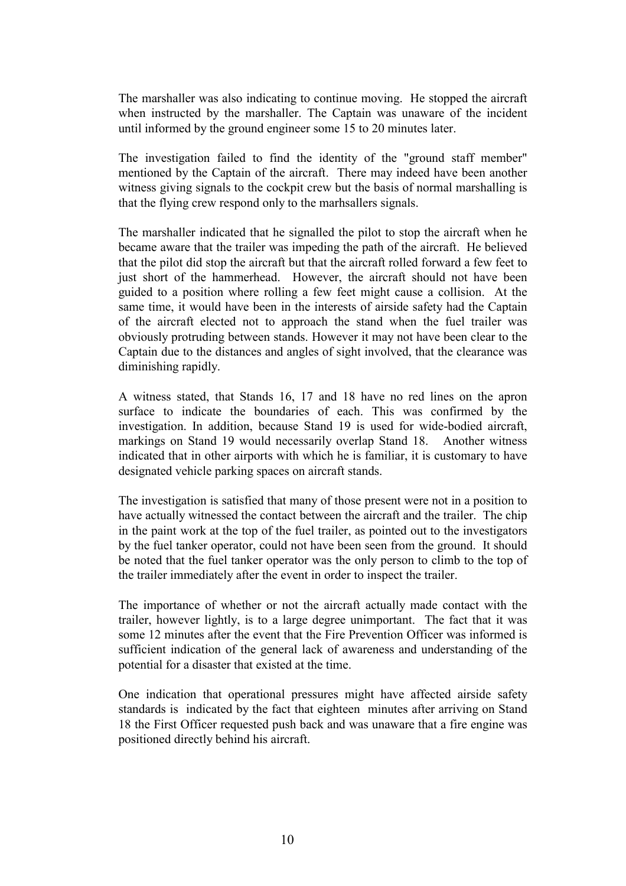The marshaller was also indicating to continue moving. He stopped the aircraft when instructed by the marshaller. The Captain was unaware of the incident until informed by the ground engineer some 15 to 20 minutes later.

The investigation failed to find the identity of the "ground staff member" mentioned by the Captain of the aircraft. There may indeed have been another witness giving signals to the cockpit crew but the basis of normal marshalling is that the flying crew respond only to the marhsallers signals.

The marshaller indicated that he signalled the pilot to stop the aircraft when he became aware that the trailer was impeding the path of the aircraft. He believed that the pilot did stop the aircraft but that the aircraft rolled forward a few feet to just short of the hammerhead. However, the aircraft should not have been guided to a position where rolling a few feet might cause a collision. At the same time, it would have been in the interests of airside safety had the Captain of the aircraft elected not to approach the stand when the fuel trailer was obviously protruding between stands. However it may not have been clear to the Captain due to the distances and angles of sight involved, that the clearance was diminishing rapidly.

A witness stated, that Stands 16, 17 and 18 have no red lines on the apron surface to indicate the boundaries of each. This was confirmed by the investigation. In addition, because Stand 19 is used for wide-bodied aircraft, markings on Stand 19 would necessarily overlap Stand 18. Another witness indicated that in other airports with which he is familiar, it is customary to have designated vehicle parking spaces on aircraft stands.

The investigation is satisfied that many of those present were not in a position to have actually witnessed the contact between the aircraft and the trailer. The chip in the paint work at the top of the fuel trailer, as pointed out to the investigators by the fuel tanker operator, could not have been seen from the ground. It should be noted that the fuel tanker operator was the only person to climb to the top of the trailer immediately after the event in order to inspect the trailer.

The importance of whether or not the aircraft actually made contact with the trailer, however lightly, is to a large degree unimportant. The fact that it was some 12 minutes after the event that the Fire Prevention Officer was informed is sufficient indication of the general lack of awareness and understanding of the potential for a disaster that existed at the time.

One indication that operational pressures might have affected airside safety standards is indicated by the fact that eighteen minutes after arriving on Stand 18 the First Officer requested push back and was unaware that a fire engine was positioned directly behind his aircraft.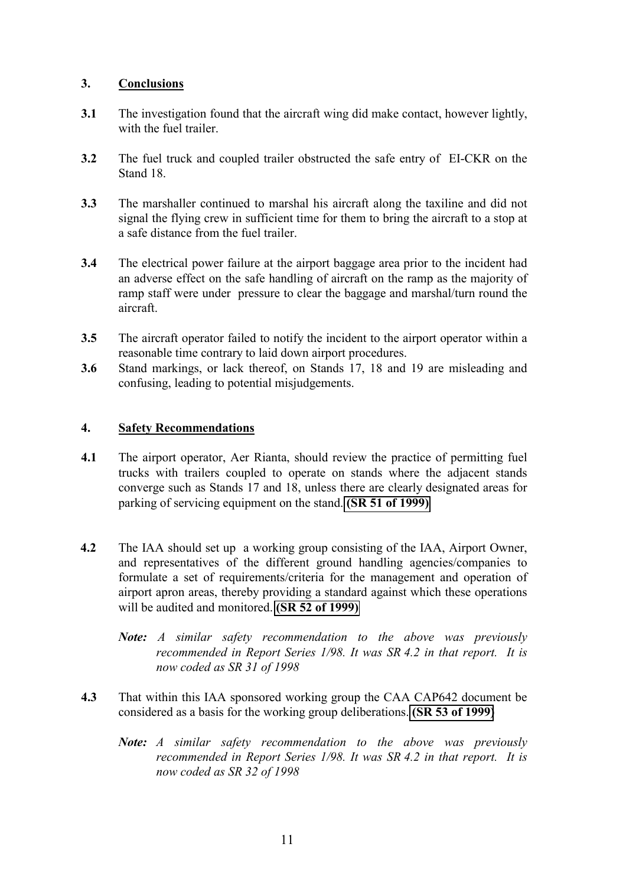### **3. Conclusions**

- **3.1** The investigation found that the aircraft wing did make contact, however lightly, with the fuel trailer.
- **3.2** The fuel truck and coupled trailer obstructed the safe entry of EI-CKR on the Stand 18.
- **3.3** The marshaller continued to marshal his aircraft along the taxiline and did not signal the flying crew in sufficient time for them to bring the aircraft to a stop at a safe distance from the fuel trailer.
- **3.4** The electrical power failure at the airport baggage area prior to the incident had an adverse effect on the safe handling of aircraft on the ramp as the majority of ramp staff were under pressure to clear the baggage and marshal/turn round the aircraft.
- **3.5** The aircraft operator failed to notify the incident to the airport operator within a reasonable time contrary to laid down airport procedures.
- **3.6** Stand markings, or lack thereof, on Stands 17, 18 and 19 are misleading and confusing, leading to potential misjudgements.

### **4. Safety Recommendations**

- **4.1** The airport operator, Aer Rianta, should review the practice of permitting fuel trucks with trailers coupled to operate on stands where the adjacent stands converge such as Stands 17 and 18, unless there are clearly designated areas for parking of servicing equipment on the stand. **[\(SR 51 of 1999\)](#page-0-0)**
- **4.2** The IAA should set up a working group consisting of the IAA, Airport Owner, and representatives of the different ground handling agencies/companies to formulate a set of requirements/criteria for the management and operation of airport apron areas, thereby providing a standard against which these operations will be audited and monitored. **[\(SR 52 of 1999\)](#page-0-0)** 
	- *Note: A similar safety recommendation to the above was previously recommended in Report Series 1/98. It was SR 4.2 in that report. It is now coded as SR 31 of 1998*
- **4.3** That within this IAA sponsored working group the CAA CAP642 document be considered as a basis for the working group deliberations. **[\(SR 53 of 1999\)](#page-0-0)** 
	- *Note: A similar safety recommendation to the above was previously recommended in Report Series 1/98. It was SR 4.2 in that report. It is now coded as SR 32 of 1998*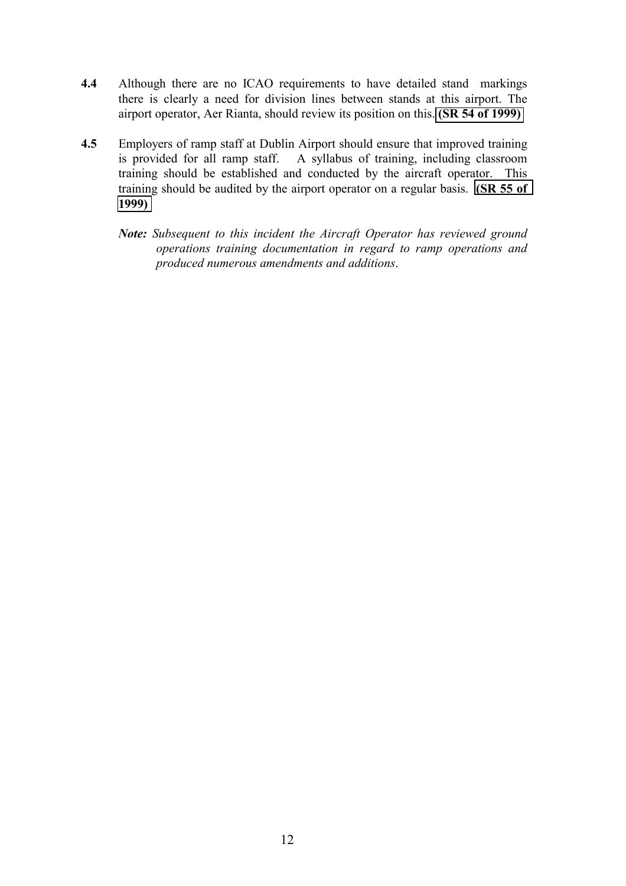- **4.4** Although there are no ICAO requirements to have detailed stand markings there is clearly a need for division lines between stands at this airport. The airport operator, Aer Rianta, should review its position on this. **[\(SR 54 of 1999\)](#page-0-0)**
- **4.5** Employers of ramp staff at Dublin Airport should ensure that improved training is provided for all ramp staff. A syllabus of training, including classroom training should be established and conducted by the aircraft operator. This training should be audited by the airport operator on a regular basis. **[\(SR 55 of](#page-0-0) [1999\)](#page-0-0)**
	- *Note: Subsequent to this incident the Aircraft Operator has reviewed ground operations training documentation in regard to ramp operations and produced numerous amendments and additions*.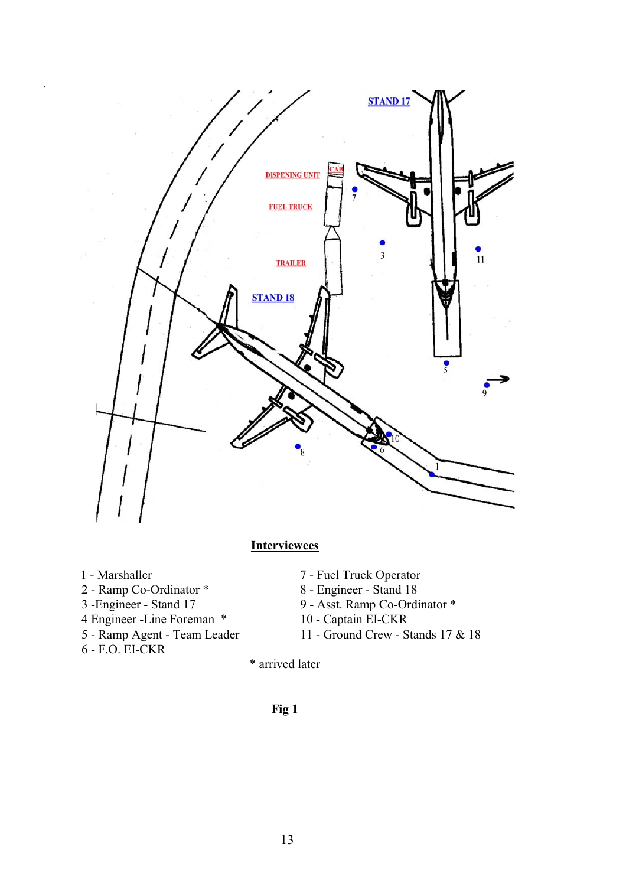

## **Interviewees**

.

- 
- 
- 
- 4 Engineer -Line Foreman \*<br>5 Ramp Agent Team Leader
- 6 F.O. EI-CKR
- 1 Marshaller 7 Fuel Truck Operator
- 2 Ramp Co-Ordinator \* 8 Engineer Stand 18
- 3 -Engineer Stand 17 9 Asst. Ramp Co-Ordinator \* 4 Engineer Line Foreman \* 10 Captain EI-CKR
	-
	- 11 Ground Crew Stands 17 & 18
	- \* arrived later